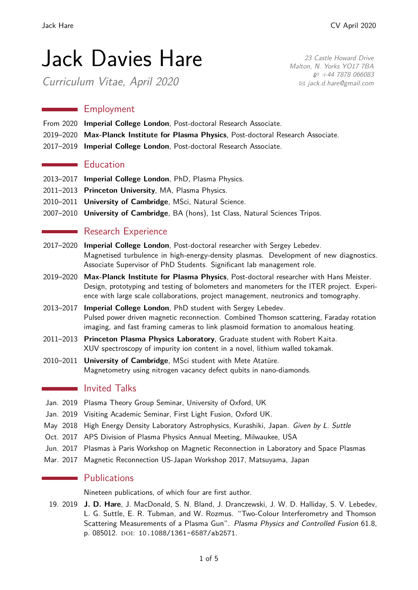23 Castle Howard Drive Malton, N. Yorks YO17 7BA

> $$+44$  7878 066083 B [jack.d.hare@gmail.com](mailto:jack.d.hare@gmail.com)

# Jack Davies Hare

Curriculum Vitae, April 2020

**Employment** 

- From 2020 **Imperial College London**, Post-doctoral Research Associate.
- 2019–2020 **Max-Planck Institute for Plasma Physics**, Post-doctoral Research Associate.
- 2017–2019 **Imperial College London**, Post-doctoral Research Associate.

#### **Education**

- 2013–2017 **Imperial College London**, PhD, Plasma Physics.
- 2011–2013 **Princeton University**, MA, Plasma Physics.
- 2010–2011 **University of Cambridge**, MSci, Natural Science.
- 2007–2010 **University of Cambridge**, BA (hons), 1st Class, Natural Sciences Tripos.

# **Research Experience**

- 2017–2020 **Imperial College London**, Post-doctoral researcher with Sergey Lebedev. Magnetised turbulence in high-energy-density plasmas. Development of new diagnostics. Associate Supervisor of PhD Students. Significant lab management role.
- 2019–2020 **Max-Planck Institute for Plasma Physics**, Post-doctoral researcher with Hans Meister. Design, prototyping and testing of bolometers and manometers for the ITER project. Experience with large scale collaborations, project management, neutronics and tomography.
- 2013–2017 **Imperial College London**, PhD student with Sergey Lebedev. Pulsed power driven magnetic reconnection. Combined Thomson scattering, Faraday rotation imaging, and fast framing cameras to link plasmoid formation to anomalous heating.
- 2011–2013 **Princeton Plasma Physics Laboratory**, Graduate student with Robert Kaita. XUV spectroscopy of impurity ion content in a novel, lithium walled tokamak.
- 2010–2011 **University of Cambridge**, MSci student with Mete Atatüre. Magnetometry using nitrogen vacancy defect qubits in nano-diamonds.

## **Invited Talks**

- Jan. 2019 Plasma Theory Group Seminar, University of Oxford, UK
- Jan. 2019 Visiting Academic Seminar, First Light Fusion, Oxford UK.
- May 2018 High Energy Density Laboratory Astrophysics, Kurashiki, Japan. Given by L. Suttle
- Oct. 2017 APS Division of Plasma Physics Annual Meeting, Milwaukee, USA
- Jun. 2017 Plasmas à Paris Workshop on Magnetic Reconnection in Laboratory and Space Plasmas
- Mar. 2017 Magnetic Reconnection US-Japan Workshop 2017, Matsuyama, Japan

## **Publications**

Nineteen publications, of which four are first author.

19. 2019 **J. D. Hare**, J. MacDonald, S. N. Bland, J. Dranczewski, J. W. D. Halliday, S. V. Lebedev, L. G. Suttle, E. R. Tubman, and W. Rozmus. "Two-Colour Interferometry and Thomson Scattering Measurements of a Plasma Gun". Plasma Physics and Controlled Fusion 61.8, p. 085012. DOI: [10.1088/1361-6587/ab2571](https://doi.org/10.1088/1361-6587/ab2571).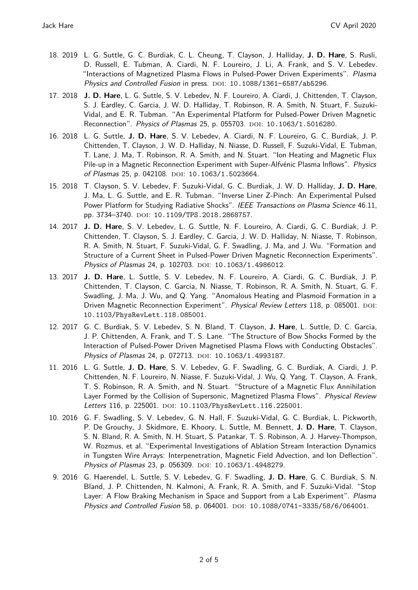- 18. 2019 L. G. Suttle, G. C. Burdiak, C. L. Cheung, T. Clayson, J. Halliday, **J. D. Hare**, S. Rusli, D. Russell, E. Tubman, A. Ciardi, N. F. Loureiro, J. Li, A. Frank, and S. V. Lebedev. "Interactions of Magnetized Plasma Flows in Pulsed-Power Driven Experiments". Plasma Physics and Controlled Fusion in press. DOI: [10.1088/1361-6587/ab5296](https://doi.org/10.1088/1361-6587/ab5296).
- 17. 2018 **J. D. Hare**, L. G. Suttle, S. V. Lebedev, N. F. Loureiro, A. Ciardi, J. Chittenden, T. Clayson, S. J. Eardley, C. Garcia, J. W. D. Halliday, T. Robinson, R. A. Smith, N. Stuart, F. Suzuki-Vidal, and E. R. Tubman. "An Experimental Platform for Pulsed-Power Driven Magnetic Reconnection". Physics of Plasmas 25, p. 055703. DOI: [10.1063/1.5016280](https://doi.org/10.1063/1.5016280).
- 16. 2018 L. G. Suttle, **J. D. Hare**, S. V. Lebedev, A. Ciardi, N. F. Loureiro, G. C. Burdiak, J. P. Chittenden, T. Clayson, J. W. D. Halliday, N. Niasse, D. Russell, F. Suzuki-Vidal, E. Tubman, T. Lane, J. Ma, T. Robinson, R. A. Smith, and N. Stuart. "Ion Heating and Magnetic Flux Pile-up in a Magnetic Reconnection Experiment with Super-Alfvénic Plasma Inflows". Physics of Plasmas 25, p. 042108. DOI: [10.1063/1.5023664](https://doi.org/10.1063/1.5023664).
- 15. 2018 T. Clayson, S. V. Lebedev, F. Suzuki-Vidal, G. C. Burdiak, J. W. D. Halliday, **J. D. Hare**, J. Ma, L. G. Suttle, and E. R. Tubman. "Inverse Liner Z-Pinch: An Experimental Pulsed Power Platform for Studying Radiative Shocks". IEEE Transactions on Plasma Science 46.11, pp. 3734-3740. DOI: [10.1109/TPS.2018.2868757](https://doi.org/10.1109/TPS.2018.2868757).
- 14. 2017 **J. D. Hare**, S. V. Lebedev, L. G. Suttle, N. F. Loureiro, A. Ciardi, G. C. Burdiak, J. P. Chittenden, T. Clayson, S. J. Eardley, C. Garcia, J. W. D. Halliday, N. Niasse, T. Robinson, R. A. Smith, N. Stuart, F. Suzuki-Vidal, G. F. Swadling, J. Ma, and J. Wu. "Formation and Structure of a Current Sheet in Pulsed-Power Driven Magnetic Reconnection Experiments". Physics of Plasmas 24, p. 102703. DOI: [10.1063/1.4986012](https://doi.org/10.1063/1.4986012).
- 13. 2017 **J. D. Hare**, L. Suttle, S. V. Lebedev, N. F. Loureiro, A. Ciardi, G. C. Burdiak, J. P. Chittenden, T. Clayson, C. Garcia, N. Niasse, T. Robinson, R. A. Smith, N. Stuart, G. F. Swadling, J. Ma, J. Wu, and Q. Yang. "Anomalous Heating and Plasmoid Formation in a Driven Magnetic Reconnection Experiment". Physical Review Letters 118, p. 085001. DOI: [10.1103/PhysRevLett.118.085001](https://doi.org/10.1103/PhysRevLett.118.085001).
- 12. 2017 G. C. Burdiak, S. V. Lebedev, S. N. Bland, T. Clayson, **J. Hare**, L. Suttle, D. C. Garcia, J. P. Chittenden, A. Frank, and T. S. Lane. "The Structure of Bow Shocks Formed by the Interaction of Pulsed-Power Driven Magnetised Plasma Flows with Conducting Obstacles". Physics of Plasmas 24, p. 072713. DOI: [10.1063/1.4993187](https://doi.org/10.1063/1.4993187).
- 11. 2016 L. G. Suttle, **J. D. Hare**, S. V. Lebedev, G. F. Swadling, G. C. Burdiak, A. Ciardi, J. P. Chittenden, N. F. Loureiro, N. Niasse, F. Suzuki-Vidal, J. Wu, Q. Yang, T. Clayson, A. Frank, T. S. Robinson, R. A. Smith, and N. Stuart. "Structure of a Magnetic Flux Annihilation Layer Formed by the Collision of Supersonic, Magnetized Plasma Flows". Physical Review Letters 116, p. 225001. DOI: [10.1103/PhysRevLett.116.225001](https://doi.org/10.1103/PhysRevLett.116.225001).
- 10. 2016 G. F. Swadling, S. V. Lebedev, G. N. Hall, F. Suzuki-Vidal, G. C. Burdiak, L. Pickworth, P. De Grouchy, J. Skidmore, E. Khoory, L. Suttle, M. Bennett, **J. D. Hare**, T. Clayson, S. N. Bland, R. A. Smith, N. H. Stuart, S. Patankar, T. S. Robinson, A. J. Harvey-Thompson, W. Rozmus, et al. "Experimental Investigations of Ablation Stream Interaction Dynamics in Tungsten Wire Arrays: Interpenetration, Magnetic Field Advection, and Ion Deflection". Physics of Plasmas 23, p. 056309. DOI: [10.1063/1.4948279](https://doi.org/10.1063/1.4948279).
- 9. 2016 G. Haerendel, L. Suttle, S. V. Lebedev, G. F. Swadling, **J. D. Hare**, G. C. Burdiak, S. N. Bland, J. P. Chittenden, N. Kalmoni, A. Frank, R. A. Smith, and F. Suzuki-Vidal. "Stop Layer: A Flow Braking Mechanism in Space and Support from a Lab Experiment". Plasma Physics and Controlled Fusion 58, p. 064001. DOI: [10.1088/0741-3335/58/6/064001](https://doi.org/10.1088/0741-3335/58/6/064001).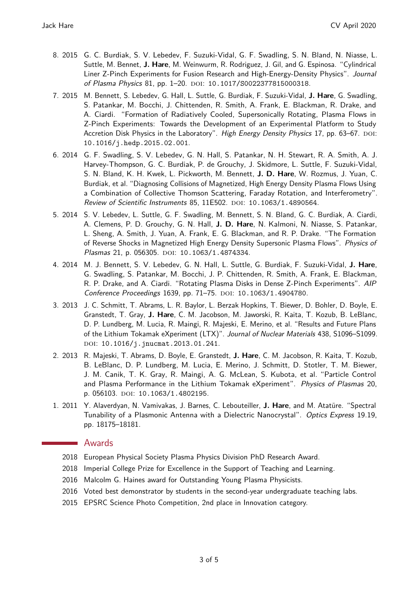- 8. 2015 G. C. Burdiak, S. V. Lebedev, F. Suzuki-Vidal, G. F. Swadling, S. N. Bland, N. Niasse, L. Suttle, M. Bennet, **J. Hare**, M. Weinwurm, R. Rodriguez, J. Gil, and G. Espinosa. "Cylindrical Liner Z-Pinch Experiments for Fusion Research and High-Energy-Density Physics". Journal of Plasma Physics 81, pp. 1-20. DOI: [10.1017/S0022377815000318](https://doi.org/10.1017/S0022377815000318).
- 7. 2015 M. Bennett, S. Lebedev, G. Hall, L. Suttle, G. Burdiak, F. Suzuki-Vidal, **J. Hare**, G. Swadling, S. Patankar, M. Bocchi, J. Chittenden, R. Smith, A. Frank, E. Blackman, R. Drake, and A. Ciardi. "Formation of Radiatively Cooled, Supersonically Rotating, Plasma Flows in Z-Pinch Experiments: Towards the Development of an Experimental Platform to Study Accretion Disk Physics in the Laboratory". High Energy Density Physics 17, pp. 63-67. DOI: [10.1016/j.hedp.2015.02.001](https://doi.org/10.1016/j.hedp.2015.02.001).
- 6. 2014 G. F. Swadling, S. V. Lebedev, G. N. Hall, S. Patankar, N. H. Stewart, R. A. Smith, A. J. Harvey-Thompson, G. C. Burdiak, P. de Grouchy, J. Skidmore, L. Suttle, F. Suzuki-Vidal, S. N. Bland, K. H. Kwek, L. Pickworth, M. Bennett, **J. D. Hare**, W. Rozmus, J. Yuan, C. Burdiak, et al. "Diagnosing Collisions of Magnetized, High Energy Density Plasma Flows Using a Combination of Collective Thomson Scattering, Faraday Rotation, and Interferometry". Review of Scientific Instruments 85, 11E502. DOI: [10.1063/1.4890564](https://doi.org/10.1063/1.4890564).
- 5. 2014 S. V. Lebedev, L. Suttle, G. F. Swadling, M. Bennett, S. N. Bland, G. C. Burdiak, A. Ciardi, A. Clemens, P. D. Grouchy, G. N. Hall, **J. D. Hare**, N. Kalmoni, N. Niasse, S. Patankar, L. Sheng, A. Smith, J. Yuan, A. Frank, E. G. Blackman, and R. P. Drake. "The Formation of Reverse Shocks in Magnetized High Energy Density Supersonic Plasma Flows". Physics of Plasmas 21, p. 056305. DOI: [10.1063/1.4874334](https://doi.org/10.1063/1.4874334).
- 4. 2014 M. J. Bennett, S. V. Lebedev, G. N. Hall, L. Suttle, G. Burdiak, F. Suzuki-Vidal, **J. Hare**, G. Swadling, S. Patankar, M. Bocchi, J. P. Chittenden, R. Smith, A. Frank, E. Blackman, R. P. Drake, and A. Ciardi. "Rotating Plasma Disks in Dense Z-Pinch Experiments". AIP Conference Proceedings 1639, pp. 71-75. DOI: [10.1063/1.4904780](https://doi.org/10.1063/1.4904780).
- 3. 2013 J. C. Schmitt, T. Abrams, L. R. Baylor, L. Berzak Hopkins, T. Biewer, D. Bohler, D. Boyle, E. Granstedt, T. Gray, **J. Hare**, C. M. Jacobson, M. Jaworski, R. Kaita, T. Kozub, B. LeBlanc, D. P. Lundberg, M. Lucia, R. Maingi, R. Majeski, E. Merino, et al. "Results and Future Plans of the Lithium Tokamak eXperiment (LTX)". Journal of Nuclear Materials 438, S1096–S1099. DOI: [10.1016/j.jnucmat.2013.01.241](https://doi.org/10.1016/j.jnucmat.2013.01.241).
- 2. 2013 R. Majeski, T. Abrams, D. Boyle, E. Granstedt, **J. Hare**, C. M. Jacobson, R. Kaita, T. Kozub, B. LeBlanc, D. P. Lundberg, M. Lucia, E. Merino, J. Schmitt, D. Stotler, T. M. Biewer, J. M. Canik, T. K. Gray, R. Maingi, A. G. McLean, S. Kubota, et al. "Particle Control and Plasma Performance in the Lithium Tokamak eXperiment". Physics of Plasmas 20, p. 056103. doi: [10.1063/1.4802195](https://doi.org/10.1063/1.4802195).
- 1. 2011 Y. Alaverdyan, N. Vamivakas, J. Barnes, C. Lebouteiller, **J. Hare**, and M. Atatüre. "Spectral Tunability of a Plasmonic Antenna with a Dielectric Nanocrystal". Optics Express 19.19, pp. 18175–18181.

#### Awards

 $\mathcal{L}_{\text{max}}$  .

- 2018 European Physical Society Plasma Physics Division PhD Research Award.
- 2018 Imperial College Prize for Excellence in the Support of Teaching and Learning.
- 2016 Malcolm G. Haines award for Outstanding Young Plasma Physicists.
- 2016 Voted best demonstrator by students in the second-year undergraduate teaching labs.
- 2015 EPSRC Science Photo Competition, 2nd place in Innovation category.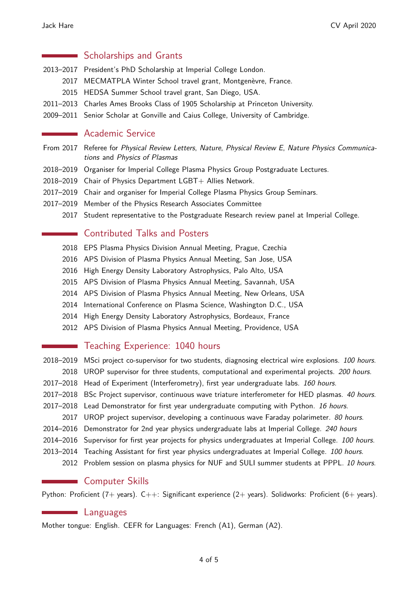#### Scholarships and Grants  $\label{eq:2.1} \frac{1}{\sqrt{2}}\left(\frac{1}{\sqrt{2}}\right)^{2} \left(\frac{1}{\sqrt{2}}\right)^{2} \left(\frac{1}{\sqrt{2}}\right)^{2} \left(\frac{1}{\sqrt{2}}\right)^{2} \left(\frac{1}{\sqrt{2}}\right)^{2} \left(\frac{1}{\sqrt{2}}\right)^{2} \left(\frac{1}{\sqrt{2}}\right)^{2} \left(\frac{1}{\sqrt{2}}\right)^{2} \left(\frac{1}{\sqrt{2}}\right)^{2} \left(\frac{1}{\sqrt{2}}\right)^{2} \left(\frac{1}{\sqrt{2}}\right)^{2} \left(\$

- 2013–2017 President's PhD Scholarship at Imperial College London.
	- 2017 MECMATPLA Winter School travel grant, Montgenèvre, France.
	- 2015 HEDSA Summer School travel grant, San Diego, USA.
- 2011–2013 Charles Ames Brooks Class of 1905 Scholarship at Princeton University.
- 2009–2011 Senior Scholar at Gonville and Caius College, University of Cambridge.

#### **Academic Service**

- From 2017 Referee for Physical Review Letters, Nature, Physical Review E, Nature Physics Communications and Physics of Plasmas
- 2018–2019 Organiser for Imperial College Plasma Physics Group Postgraduate Lectures.
- 2018–2019 Chair of Physics Department LGBT+ Allies Network.
- 2017–2019 Chair and organiser for Imperial College Plasma Physics Group Seminars.
- 2017–2019 Member of the Physics Research Associates Committee
	- 2017 Student representative to the Postgraduate Research review panel at Imperial College.

#### Contributed Talks and Posters

- 2018 EPS Plasma Physics Division Annual Meeting, Prague, Czechia
- 2016 APS Division of Plasma Physics Annual Meeting, San Jose, USA
- 2016 High Energy Density Laboratory Astrophysics, Palo Alto, USA
- 2015 APS Division of Plasma Physics Annual Meeting, Savannah, USA
- 2014 APS Division of Plasma Physics Annual Meeting, New Orleans, USA
- 2014 International Conference on Plasma Science, Washington D.C., USA
- 2014 High Energy Density Laboratory Astrophysics, Bordeaux, France
- 2012 APS Division of Plasma Physics Annual Meeting, Providence, USA

#### Teaching Experience: 1040 hours

- 2018–2019 MSci project co-supervisor for two students, diagnosing electrical wire explosions. 100 hours.
- 2018 UROP supervisor for three students, computational and experimental projects. 200 hours.
- 2017–2018 Head of Experiment (Interferometry), first year undergraduate labs. 160 hours.
- 2017–2018 BSc Project supervisor, continuous wave triature interferometer for HED plasmas. 40 hours.
- 2017–2018 Lead Demonstrator for first year undergraduate computing with Python. 16 hours.
	- 2017 UROP project supervisor, developing a continuous wave Faraday polarimeter. 80 hours.
- 2014–2016 Demonstrator for 2nd year physics undergraduate labs at Imperial College. 240 hours
- 2014–2016 Supervisor for first year projects for physics undergraduates at Imperial College. 100 hours.
- 2013–2014 Teaching Assistant for first year physics undergraduates at Imperial College. 100 hours.
	- 2012 Problem session on plasma physics for NUF and SULI summer students at PPPL. 10 hours.

#### **Computer Skills**

Python: Proficient (7+ years).  $C++$ : Significant experience (2+ years). Solidworks: Proficient (6+ years).

#### **Languages**

 $\sim 10^{11}$  m  $^{-1}$ 

Mother tongue: English. CEFR for Languages: French (A1), German (A2).